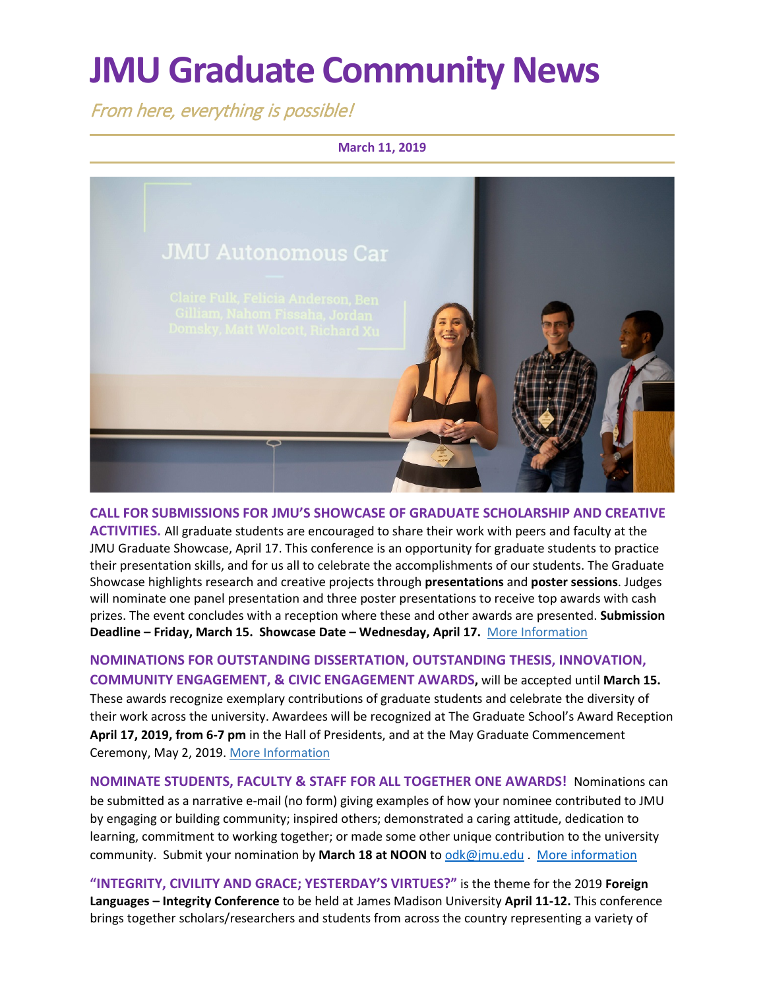# **JMU Graduate Community News**

From here, everything is possible!

#### **March 11, 2019**



**CALL FOR SUBMISSIONS FOR JMU'S SHOWCASE OF GRADUATE SCHOLARSHIP AND CREATIVE ACTIVITIES.** All graduate students are encouraged to share their work with peers and faculty at the JMU Graduate Showcase, April 17. This conference is an opportunity for graduate students to practice their presentation skills, and for us all to celebrate the accomplishments of our students. The Graduate Showcase highlights research and creative projects through **presentations** and **poster sessions**. Judges will nominate one panel presentation and three poster presentations to receive top awards with cash prizes. The event concludes with a reception where these and other awards are presented. **Submission Deadline – Friday, March 15. Showcase Date – Wednesday, April 17.** [More Information](http://www.jmu.edu/grad/GraduateShowcase/index.shtml)

**NOMINATIONS FOR OUTSTANDING DISSERTATION, OUTSTANDING THESIS, INNOVATION, COMMUNITY ENGAGEMENT, & CIVIC ENGAGEMENT AWARDS,** will be accepted until **March 15.** These awards recognize exemplary contributions of graduate students and celebrate the diversity of their work across the university. Awardees will be recognized at The Graduate School's Award Reception **April 17, 2019, from 6-7 pm** in the Hall of Presidents, and at the May Graduate Commencement Ceremony, May 2, 2019. [More Information](https://www.jmu.edu/grad/student-awards/award-nominations.shtml)

**NOMINATE STUDENTS, FACULTY & STAFF FOR ALL TOGETHER ONE AWARDS!** Nominations can be submitted as a narrative e-mail (no form) giving examples of how your nominee contributed to JMU by engaging or building community; inspired others; demonstrated a caring attitude, dedication to learning, commitment to working together; or made some other unique contribution to the university community. Submit your nomination by **March 18 at NOON** to [odk@jmu.edu](mailto:odk@jmu.edu) . [More information](http://www.jmu.edu/alltogetherone/)

**"INTEGRITY, CIVILITY AND GRACE; YESTERDAY'S VIRTUES?"** is the theme for the 2019 **Foreign Languages – Integrity Conference** to be held at James Madison University **April 11-12.** This conference brings together scholars/researchers and students from across the country representing a variety of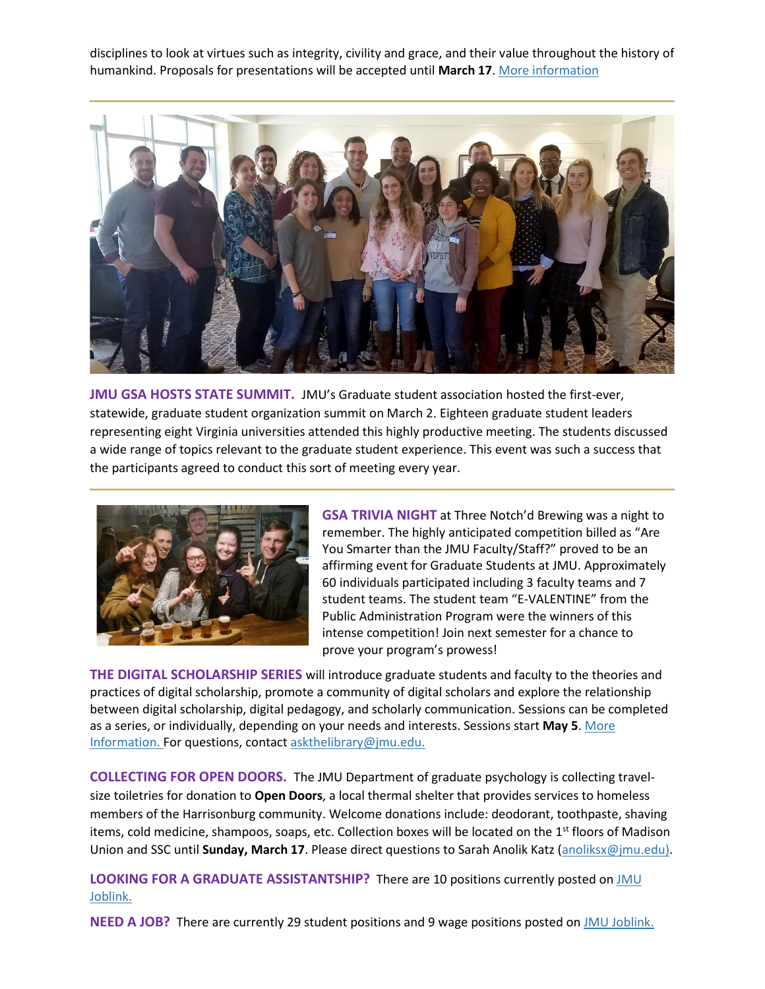disciplines to look at virtues such as integrity, civility and grace, and their value throughout the history of humankind. Proposals for presentations will be accepted until **March 17**. [More information](https://www.jmu.edu/forlang/conferenceFLLC/call.shtml)



**JMU GSA HOSTS STATE SUMMIT.** JMU's Graduate student association hosted the first-ever, statewide, graduate student organization summit on March 2. Eighteen graduate student leaders representing eight Virginia universities attended this highly productive meeting. The students discussed a wide range of topics relevant to the graduate student experience. This event was such a success that the participants agreed to conduct this sort of meeting every year.



**GSA TRIVIA NIGHT** at Three Notch'd Brewing was a night to remember. The highly anticipated competition billed as "Are You Smarter than the JMU Faculty/Staff?" proved to be an affirming event for Graduate Students at JMU. Approximately 60 individuals participated including 3 faculty teams and 7 student teams. The student team "E-VALENTINE" from the Public Administration Program were the winners of this intense competition! Join next semester for a chance to prove your program's prowess!

**THE DIGITAL SCHOLARSHIP SERIES** will introduce graduate students and faculty to the theories and practices of digital scholarship, promote a community of digital scholars and explore the relationship between digital scholarship, digital pedagogy, and scholarly communication. Sessions can be completed as a series, or individually, depending on your needs and interests. Sessions start **May 5**. [More](https://workshop.cit.jmu.edu/courses/183)  [Information.](https://workshop.cit.jmu.edu/courses/183) For questions, contac[t askthelibrary@jmu.edu.](mailto:askthelibrary@jmu.edu)

**COLLECTING FOR OPEN DOORS.** The JMU Department of graduate psychology is collecting travelsize toiletries for donation to **Open Doors**, a local thermal shelter that provides services to homeless members of the Harrisonburg community. Welcome donations include: deodorant, toothpaste, shaving items, cold medicine, shampoos, soaps, etc. Collection boxes will be located on the 1<sup>st</sup> floors of Madison Union and SSC until **Sunday, March 17**. Please direct questions to Sarah Anolik Katz [\(anoliksx@jmu.edu\)](mailto:anoliksx@jmu.edu).

**LOOKING FOR A GRADUATE ASSISTANTSHIP?** There are 10 positions currently posted o[n JMU](https://joblink.jmu.edu/)  [Joblink.](https://joblink.jmu.edu/)

**NEED A JOB?** There are currently 29 student positions and 9 wage positions posted o[n JMU Joblink.](https://joblink.jmu.edu/)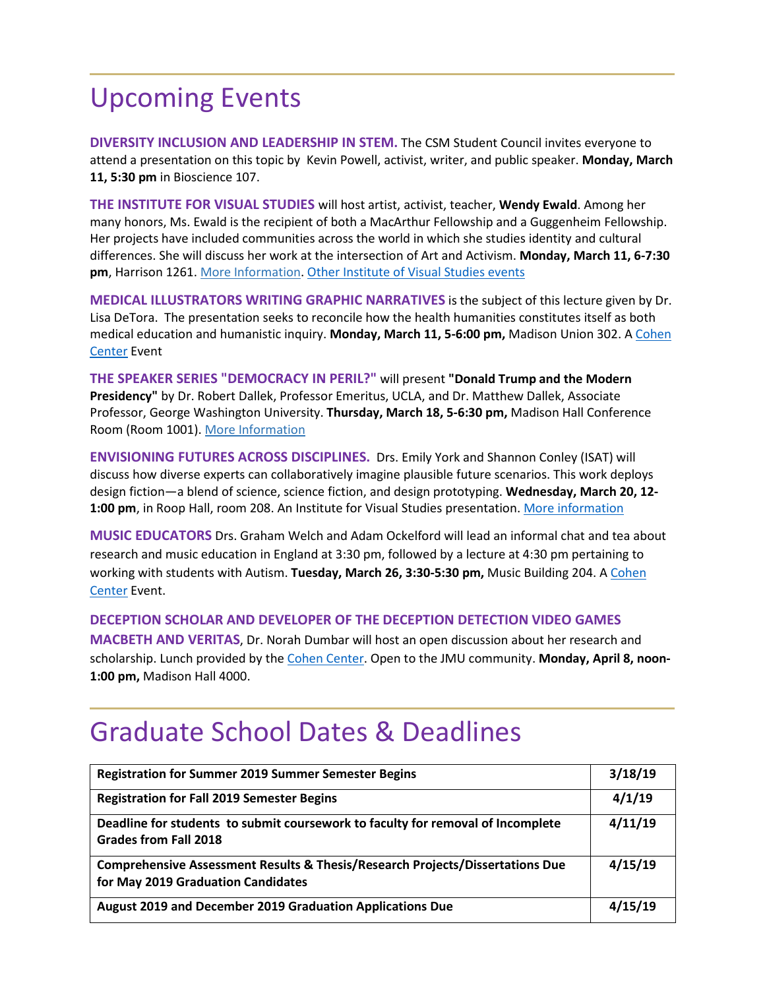## Upcoming Events

**DIVERSITY INCLUSION AND LEADERSHIP IN STEM.** The CSM Student Council invites everyone to attend a presentation on this topic by [Kevin Powell, activist, writer, and public speaker.](https://www.jmu.edu/csm/) **Monday, March 11, 5:30 pm** [in Bioscience 107.](https://www.jmu.edu/csm/) 

**THE INSTITUTE FOR VISUAL STUDIES** will host artist, activist, teacher, **Wendy Ewald**. Among her many honors, Ms. Ewald is the recipient of both a MacArthur Fellowship and a Guggenheim Fellowship. Her projects have included communities across the world in which she studies identity and cultural differences. She will discuss her work at the intersection of Art and Activism. **Monday, March 11, 6-7:30 pm**, Harrison 1261. [More Information.](https://www.jmu.edu/events/ivs/2019/03-11-ewald.shtml) [Other Institute of](https://www.jmu.edu/ivs/) Visual Studies events

**MEDICAL ILLUSTRATORS WRITING GRAPHIC NARRATIVES** is the subject of this lecture given by Dr. Lisa DeTora. The presentation seeks to reconcile how the health humanities constitutes itself as both medical education and humanistic inquiry. **Monday, March 11, 5-6:00 pm,** Madison Union 302. A [Cohen](http://www.jmu.edu/cohencenter/index.shtml)  [Center](http://www.jmu.edu/cohencenter/index.shtml) Event

**THE SPEAKER SERIES "DEMOCRACY IN PERIL?"** will present **"Donald Trump and the Modern Presidency"** by Dr. Robert Dallek, Professor Emeritus, UCLA, and Dr. Matthew Dallek, Associate Professor, George Washington University. **Thursday, March 18, 5-6:30 pm,** Madison Hall Conference Room (Room 1001). [More Information](http://sites.jmu.edu/democracyinperil/)

**ENVISIONING FUTURES ACROSS DISCIPLINES.** Drs. Emily York and Shannon Conley (ISAT) will discuss how diverse experts can collaboratively imagine plausible future scenarios. This work deploys design fiction—a blend of science, science fiction, and design prototyping. **Wednesday, March 20, 12- 1:00 pm**, in Roop Hall, room 208. An Institute for Visual Studies presentation. [More information](https://www.jmu.edu/ivs/)

**MUSIC EDUCATORS** Drs. Graham Welch and Adam Ockelford will lead an informal chat and tea about research and music education in England at 3:30 pm, followed by a lecture at 4:30 pm pertaining to working with students with Autism. **Tuesday, March 26, 3:30-5:30 pm,** Music Building 204. A [Cohen](http://www.jmu.edu/cohencenter/index.shtml)  [Center](http://www.jmu.edu/cohencenter/index.shtml) Event.

**DECEPTION SCHOLAR AND DEVELOPER OF THE DECEPTION DETECTION VIDEO GAMES**

**MACBETH AND VERITAS**, Dr. Norah Dumbar will host an open discussion about her research and scholarship. Lunch provided by the [Cohen Center.](http://www.jmu.edu/cohencenter/index.shtml) Open to the JMU community. **Monday, April 8, noon-1:00 pm,** Madison Hall 4000.

## Graduate School Dates & Deadlines

| <b>Registration for Summer 2019 Summer Semester Begins</b>                                                          | 3/18/19 |
|---------------------------------------------------------------------------------------------------------------------|---------|
| <b>Registration for Fall 2019 Semester Begins</b>                                                                   | 4/1/19  |
| Deadline for students to submit coursework to faculty for removal of Incomplete<br><b>Grades from Fall 2018</b>     | 4/11/19 |
| Comprehensive Assessment Results & Thesis/Research Projects/Dissertations Due<br>for May 2019 Graduation Candidates | 4/15/19 |
| August 2019 and December 2019 Graduation Applications Due                                                           | 4/15/19 |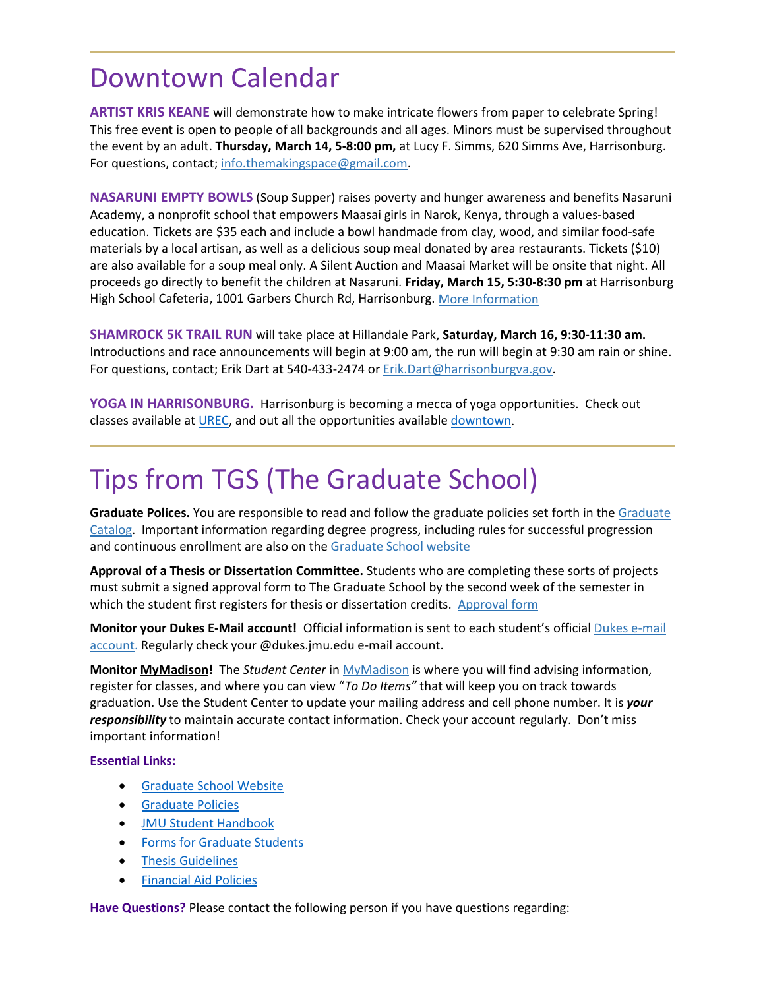#### Downtown Calendar

**ARTIST KRIS KEANE** will demonstrate how to make intricate flowers from paper to celebrate Spring! This free event is open to people of all backgrounds and all ages. Minors must be supervised throughout the event by an adult. **Thursday, March 14, 5-8:00 pm,** at Lucy F. Simms, 620 Simms Ave, Harrisonburg. For questions, contact; [info.themakingspace@gmail.com.](mailto:info.themakingspace@gmail.com)

**NASARUNI EMPTY BOWLS** (Soup Supper) raises poverty and hunger awareness and benefits Nasaruni Academy, a nonprofit school that empowers Maasai girls in Narok, Kenya, through a values-based education. Tickets are \$35 each and include a bowl handmade from clay, wood, and similar food-safe materials by a local artisan, as well as a delicious soup meal donated by area restaurants. Tickets (\$10) are also available for a soup meal only. A Silent Auction and Maasai Market will be onsite that night. All proceeds go directly to benefit the children at Nasaruni. **Friday, March 15, 5:30-8:30 pm** at Harrisonburg High School Cafeteria, 1001 Garbers Church Rd, Harrisonburg. [More Information](https://www.visitharrisonburgva.com/calendar-of-events/)

**SHAMROCK 5K TRAIL RUN** will take place at Hillandale Park, **Saturday, March 16, 9:30-11:30 am.** Introductions and race announcements will begin at 9:00 am, the run will begin at 9:30 am rain or shine. For questions, contact; Erik Dart at 540-433-2474 o[r Erik.Dart@harrisonburgva.gov.](mailto:Erik.Dart@harrisonburgva.gov)

**YOGA IN HARRISONBURG.** Harrisonburg is becoming a mecca of yoga opportunities. Check out classes available at [UREC,](http://www.jmu.edu/recreation/) and out all the opportunities available [downtown.](https://downtownharrisonburg.org/a-healthy-harrisonburg-an-even-healthier-you/)

## Tips from TGS (The Graduate School)

**Graduate Polices.** You are responsible to read and follow the graduate policies set forth in the [Graduate](http://jmu.edu/catalog)  [Catalog.](http://jmu.edu/catalog) Important information regarding degree progress, including rules for successful progression and continuous enrollment are also on the [Graduate School website](http://www.jmu.edu/grad/current-students/degree-progress/beginning.shtml)

**Approval of a Thesis or Dissertation Committee.** Students who are completing these sorts of projects must submit a signed approval form to The Graduate School by the second week of the semester in which the student first registers for thesis or dissertation credits. [Approval form](https://www.jmu.edu/grad/_files/CommitteeApprovalForm2017-18.pdf)

**Monitor your Dukes E-Mail account!** Official information is sent to each student's officia[l Dukes e-mail](http://www.jmu.edu/computing/helpdesk/selfhelp/DukesEmail.shtml)  [account.](http://www.jmu.edu/computing/helpdesk/selfhelp/DukesEmail.shtml) Regularly check your @dukes.jmu.edu e-mail account.

**Monitor [MyMadison!](http://mymadison.jmu.edu/)** The *Student Center* in [MyMadison](http://mymadison.jmu.edu/) is where you will find advising information, register for classes, and where you can view "*To Do Items"* that will keep you on track towards graduation. Use the Student Center to update your mailing address and cell phone number. It is *your responsibility* to maintain accurate contact information. Check your account regularly. Don't miss important information!

#### **Essential Links:**

- [Graduate School Website](http://www.jmu.edu/grad)
- [Graduate Policies](http://www.jmu.edu/catalog/index.shtml)
- [JMU Student Handbook](https://www.jmu.edu/osarp/handbook/index.shtml)
- [Forms for Graduate Students](http://www.jmu.edu/grad/current-students/graduate-forms.shtml)
- [Thesis Guidelines](http://www.jmu.edu/grad/current-students/thesis-dissertation/information.shtml)
- [Financial Aid Policies](http://www.jmu.edu/finaid/sap.shtml)

**Have Questions?** Please contact the following person if you have questions regarding: